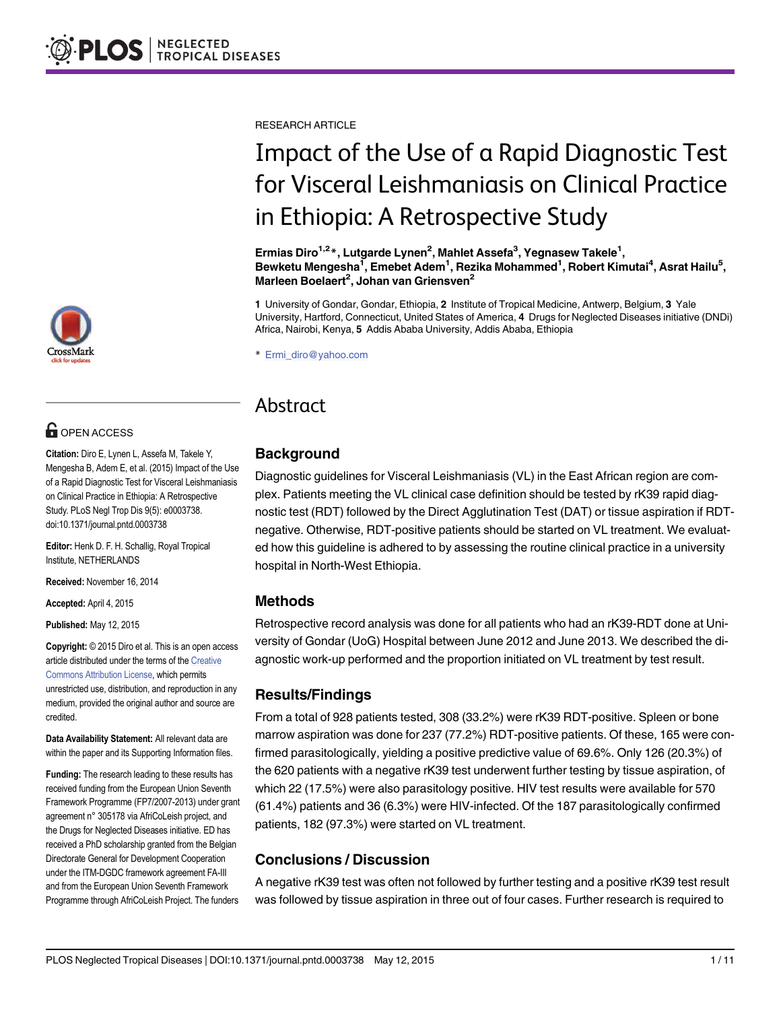

# **G** OPEN ACCESS

Citation: Diro E, Lynen L, Assefa M, Takele Y, Mengesha B, Adem E, et al. (2015) Impact of the Use of a Rapid Diagnostic Test for Visceral Leishmaniasis on Clinical Practice in Ethiopia: A Retrospective Study. PLoS Negl Trop Dis 9(5): e0003738. doi:10.1371/journal.pntd.0003738

Editor: Henk D. F. H. Schallig, Royal Tropical Institute, NETHERLANDS

Received: November 16, 2014

Accepted: April 4, 2015

Published: May 12, 2015

Copyright: © 2015 Diro et al. This is an open access article distributed under the terms of the [Creative](http://creativecommons.org/licenses/by/4.0/) [Commons Attribution License](http://creativecommons.org/licenses/by/4.0/), which permits unrestricted use, distribution, and reproduction in any medium, provided the original author and source are credited.

Data Availability Statement: All relevant data are within the paper and its Supporting Information files.

Funding: The research leading to these results has received funding from the European Union Seventh Framework Programme (FP7/2007‐2013) under grant agreement n° 305178 via AfriCoLeish project, and the Drugs for Neglected Diseases initiative. ED has received a PhD scholarship granted from the Belgian Directorate General for Development Cooperation under the ITM-DGDC framework agreement FA-III and from the European Union Seventh Framework Programme through AfriCoLeish Project. The funders

RESEARCH ARTICLE

# Impact of the Use of a Rapid Diagnostic Test for Visceral Leishmaniasis on Clinical Practice in Ethiopia: A Retrospective Study

Ermias Diro<sup>1,2</sup>\*, Lutgarde Lynen<sup>2</sup>, Mahlet Assefa<sup>3</sup>, Yegnasew Takele<sup>1</sup>, Bewketu Mengesha<sup>1</sup>, Emebet Adem<sup>1</sup>, Rezika Mohammed<sup>1</sup>, Robert Kimutai<sup>4</sup>, Asrat Hailu<sup>5</sup>, Marleen Boelaert<sup>2</sup>, Johan van Griensven<sup>2</sup>

1 University of Gondar, Gondar, Ethiopia, 2 Institute of Tropical Medicine, Antwerp, Belgium, 3 Yale University, Hartford, Connecticut, United States of America, 4 Drugs for Neglected Diseases initiative (DNDi) Africa, Nairobi, Kenya, 5 Addis Ababa University, Addis Ababa, Ethiopia

\* Ermi\_diro@yahoo.com

# Abstract

## Background

Diagnostic guidelines for Visceral Leishmaniasis (VL) in the East African region are complex. Patients meeting the VL clinical case definition should be tested by rK39 rapid diagnostic test (RDT) followed by the Direct Agglutination Test (DAT) or tissue aspiration if RDTnegative. Otherwise, RDT-positive patients should be started on VL treatment. We evaluated how this guideline is adhered to by assessing the routine clinical practice in a university hospital in North-West Ethiopia.

#### Methods

Retrospective record analysis was done for all patients who had an rK39-RDT done at University of Gondar (UoG) Hospital between June 2012 and June 2013. We described the diagnostic work-up performed and the proportion initiated on VL treatment by test result.

# Results/Findings

From a total of 928 patients tested, 308 (33.2%) were rK39 RDT-positive. Spleen or bone marrow aspiration was done for 237 (77.2%) RDT-positive patients. Of these, 165 were confirmed parasitologically, yielding a positive predictive value of 69.6%. Only 126 (20.3%) of the 620 patients with a negative rK39 test underwent further testing by tissue aspiration, of which 22 (17.5%) were also parasitology positive. HIV test results were available for 570 (61.4%) patients and 36 (6.3%) were HIV-infected. Of the 187 parasitologically confirmed patients, 182 (97.3%) were started on VL treatment.

# Conclusions / Discussion

A negative rK39 test was often not followed by further testing and a positive rK39 test result was followed by tissue aspiration in three out of four cases. Further research is required to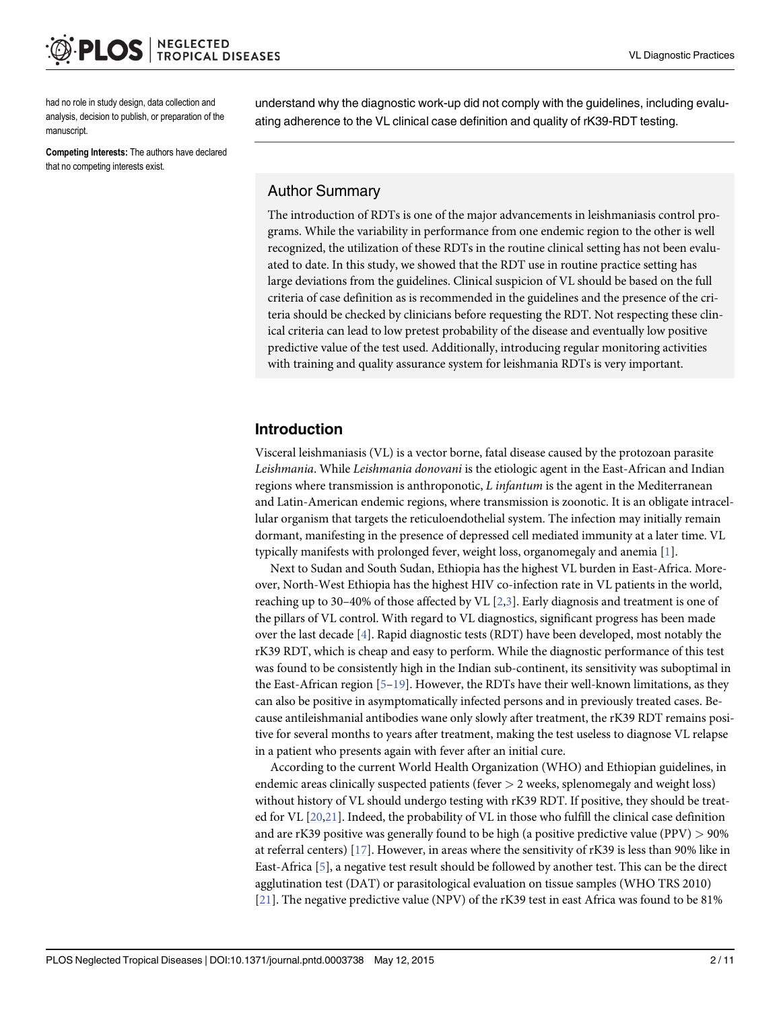<span id="page-1-0"></span>had no role in study design, data collection and analysis, decision to publish, or preparation of the manuscript.

Competing Interests: The authors have declared that no competing interests exist.

understand why the diagnostic work-up did not comply with the guidelines, including evaluating adherence to the VL clinical case definition and quality of rK39-RDT testing.

#### Author Summary

The introduction of RDTs is one of the major advancements in leishmaniasis control programs. While the variability in performance from one endemic region to the other is well recognized, the utilization of these RDTs in the routine clinical setting has not been evaluated to date. In this study, we showed that the RDT use in routine practice setting has large deviations from the guidelines. Clinical suspicion of VL should be based on the full criteria of case definition as is recommended in the guidelines and the presence of the criteria should be checked by clinicians before requesting the RDT. Not respecting these clinical criteria can lead to low pretest probability of the disease and eventually low positive predictive value of the test used. Additionally, introducing regular monitoring activities with training and quality assurance system for leishmania RDTs is very important.

## Introduction

Visceral leishmaniasis (VL) is a vector borne, fatal disease caused by the protozoan parasite Leishmania. While Leishmania donovani is the etiologic agent in the East-African and Indian regions where transmission is anthroponotic, L infantum is the agent in the Mediterranean and Latin-American endemic regions, where transmission is zoonotic. It is an obligate intracellular organism that targets the reticuloendothelial system. The infection may initially remain dormant, manifesting in the presence of depressed cell mediated immunity at a later time. VL typically manifests with prolonged fever, weight loss, organomegaly and anemia [\[1\]](#page-9-0).

Next to Sudan and South Sudan, Ethiopia has the highest VL burden in East-Africa. Moreover, North-West Ethiopia has the highest HIV co-infection rate in VL patients in the world, reaching up to 30–40% of those affected by VL  $[2,3]$  $[2,3]$ . Early diagnosis and treatment is one of the pillars of VL control. With regard to VL diagnostics, significant progress has been made over the last decade [\[4\]](#page-9-0). Rapid diagnostic tests (RDT) have been developed, most notably the rK39 RDT, which is cheap and easy to perform. While the diagnostic performance of this test was found to be consistently high in the Indian sub-continent, its sensitivity was suboptimal in the East-African region  $[5-19]$  $[5-19]$  $[5-19]$ . However, the RDTs have their well-known limitations, as they can also be positive in asymptomatically infected persons and in previously treated cases. Because antileishmanial antibodies wane only slowly after treatment, the rK39 RDT remains positive for several months to years after treatment, making the test useless to diagnose VL relapse in a patient who presents again with fever after an initial cure.

According to the current World Health Organization (WHO) and Ethiopian guidelines, in endemic areas clinically suspected patients (fever  $> 2$  weeks, splenomegaly and weight loss) without history of VL should undergo testing with rK39 RDT. If positive, they should be treated for VL [\[20,21\]](#page-10-0). Indeed, the probability of VL in those who fulfill the clinical case definition and are rK39 positive was generally found to be high (a positive predictive value (PPV) > 90% at referral centers) [\[17\]](#page-9-0). However, in areas where the sensitivity of rK39 is less than 90% like in East-Africa [\[5](#page-9-0)], a negative test result should be followed by another test. This can be the direct agglutination test (DAT) or parasitological evaluation on tissue samples (WHO TRS 2010) [\[21](#page-10-0)]. The negative predictive value (NPV) of the rK39 test in east Africa was found to be 81%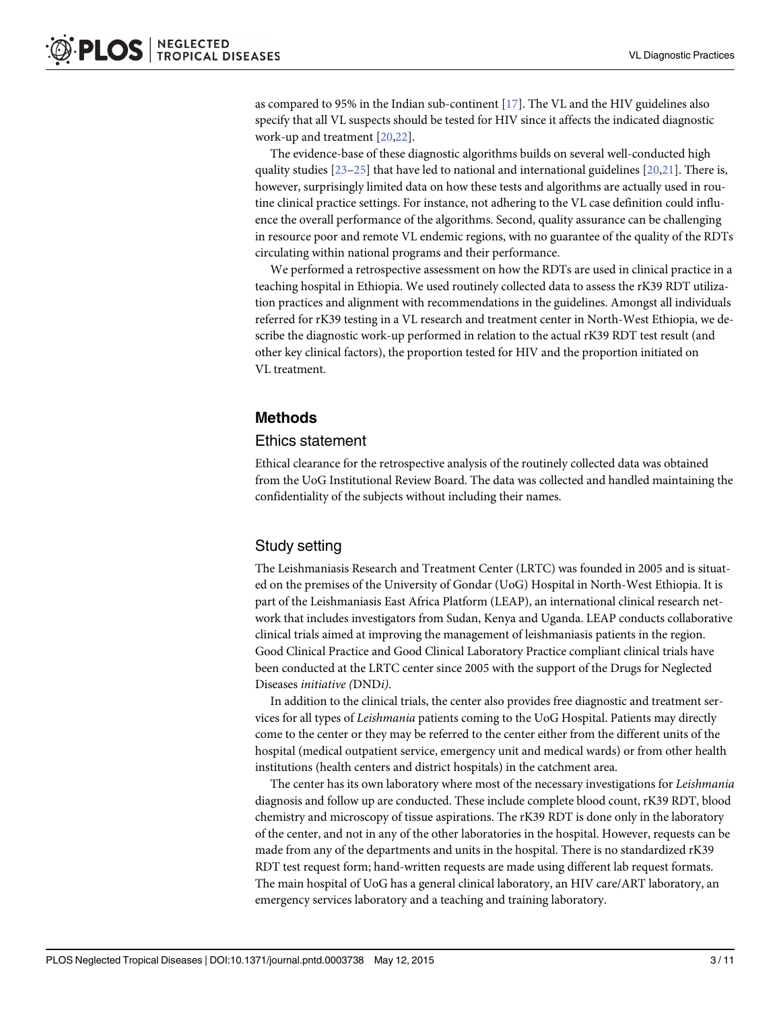<span id="page-2-0"></span>as compared to 95% in the Indian sub-continent  $[17]$  $[17]$  $[17]$ . The VL and the HIV guidelines also specify that all VL suspects should be tested for HIV since it affects the indicated diagnostic work-up and treatment [\[20,22\]](#page-10-0).

The evidence-base of these diagnostic algorithms builds on several well-conducted high quality studies [[23](#page-10-0)–[25](#page-10-0)] that have led to national and international guidelines [\[20,21\]](#page-10-0). There is, however, surprisingly limited data on how these tests and algorithms are actually used in routine clinical practice settings. For instance, not adhering to the VL case definition could influence the overall performance of the algorithms. Second, quality assurance can be challenging in resource poor and remote VL endemic regions, with no guarantee of the quality of the RDTs circulating within national programs and their performance.

We performed a retrospective assessment on how the RDTs are used in clinical practice in a teaching hospital in Ethiopia. We used routinely collected data to assess the rK39 RDT utilization practices and alignment with recommendations in the guidelines. Amongst all individuals referred for rK39 testing in a VL research and treatment center in North-West Ethiopia, we describe the diagnostic work-up performed in relation to the actual rK39 RDT test result (and other key clinical factors), the proportion tested for HIV and the proportion initiated on VL treatment.

# Methods

#### Ethics statement

Ethical clearance for the retrospective analysis of the routinely collected data was obtained from the UoG Institutional Review Board. The data was collected and handled maintaining the confidentiality of the subjects without including their names.

# Study setting

The Leishmaniasis Research and Treatment Center (LRTC) was founded in 2005 and is situated on the premises of the University of Gondar (UoG) Hospital in North-West Ethiopia. It is part of the Leishmaniasis East Africa Platform (LEAP), an international clinical research network that includes investigators from Sudan, Kenya and Uganda. LEAP conducts collaborative clinical trials aimed at improving the management of leishmaniasis patients in the region. Good Clinical Practice and Good Clinical Laboratory Practice compliant clinical trials have been conducted at the LRTC center since 2005 with the support of the Drugs for Neglected Diseases initiative (DNDi).

In addition to the clinical trials, the center also provides free diagnostic and treatment services for all types of Leishmania patients coming to the UoG Hospital. Patients may directly come to the center or they may be referred to the center either from the different units of the hospital (medical outpatient service, emergency unit and medical wards) or from other health institutions (health centers and district hospitals) in the catchment area.

The center has its own laboratory where most of the necessary investigations for Leishmania diagnosis and follow up are conducted. These include complete blood count, rK39 RDT, blood chemistry and microscopy of tissue aspirations. The rK39 RDT is done only in the laboratory of the center, and not in any of the other laboratories in the hospital. However, requests can be made from any of the departments and units in the hospital. There is no standardized rK39 RDT test request form; hand-written requests are made using different lab request formats. The main hospital of UoG has a general clinical laboratory, an HIV care/ART laboratory, an emergency services laboratory and a teaching and training laboratory.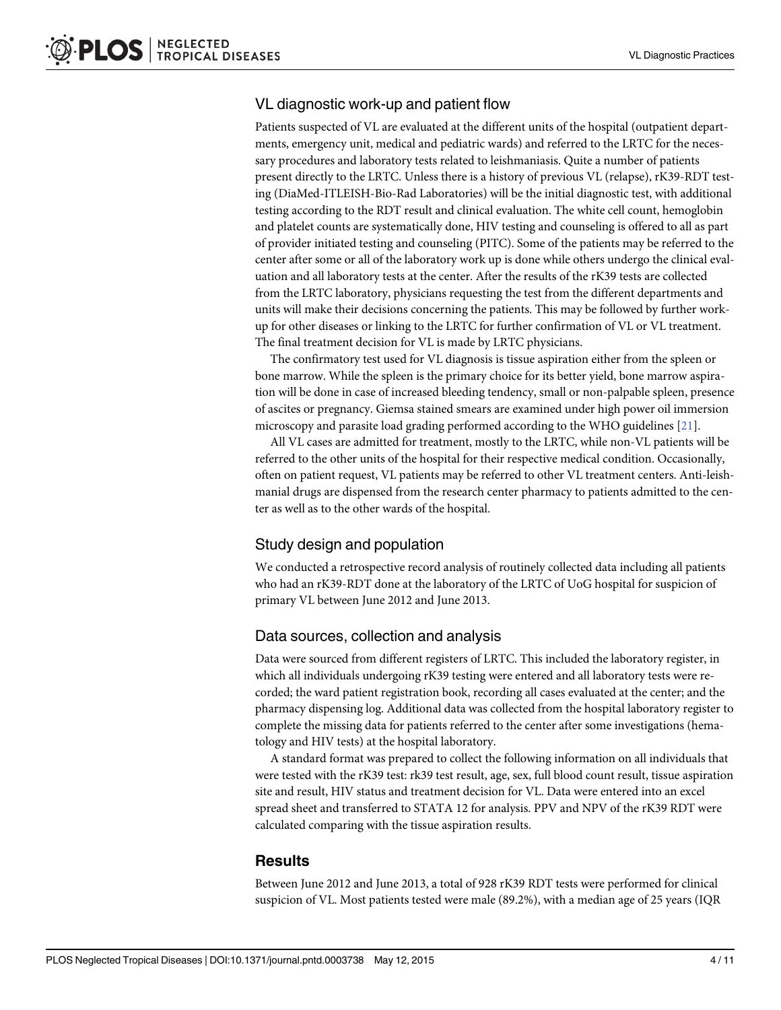# VL diagnostic work-up and patient flow

Patients suspected of VL are evaluated at the different units of the hospital (outpatient departments, emergency unit, medical and pediatric wards) and referred to the LRTC for the necessary procedures and laboratory tests related to leishmaniasis. Quite a number of patients present directly to the LRTC. Unless there is a history of previous VL (relapse), rK39-RDT testing (DiaMed-ITLEISH-Bio-Rad Laboratories) will be the initial diagnostic test, with additional testing according to the RDT result and clinical evaluation. The white cell count, hemoglobin and platelet counts are systematically done, HIV testing and counseling is offered to all as part of provider initiated testing and counseling (PITC). Some of the patients may be referred to the center after some or all of the laboratory work up is done while others undergo the clinical evaluation and all laboratory tests at the center. After the results of the rK39 tests are collected from the LRTC laboratory, physicians requesting the test from the different departments and units will make their decisions concerning the patients. This may be followed by further workup for other diseases or linking to the LRTC for further confirmation of VL or VL treatment. The final treatment decision for VL is made by LRTC physicians.

The confirmatory test used for VL diagnosis is tissue aspiration either from the spleen or bone marrow. While the spleen is the primary choice for its better yield, bone marrow aspiration will be done in case of increased bleeding tendency, small or non-palpable spleen, presence of ascites or pregnancy. Giemsa stained smears are examined under high power oil immersion microscopy and parasite load grading performed according to the WHO guidelines [\[21\]](#page-10-0).

All VL cases are admitted for treatment, mostly to the LRTC, while non-VL patients will be referred to the other units of the hospital for their respective medical condition. Occasionally, often on patient request, VL patients may be referred to other VL treatment centers. Anti-leishmanial drugs are dispensed from the research center pharmacy to patients admitted to the center as well as to the other wards of the hospital.

# Study design and population

We conducted a retrospective record analysis of routinely collected data including all patients who had an rK39-RDT done at the laboratory of the LRTC of UoG hospital for suspicion of primary VL between June 2012 and June 2013.

# Data sources, collection and analysis

Data were sourced from different registers of LRTC. This included the laboratory register, in which all individuals undergoing rK39 testing were entered and all laboratory tests were recorded; the ward patient registration book, recording all cases evaluated at the center; and the pharmacy dispensing log. Additional data was collected from the hospital laboratory register to complete the missing data for patients referred to the center after some investigations (hematology and HIV tests) at the hospital laboratory.

A standard format was prepared to collect the following information on all individuals that were tested with the rK39 test: rk39 test result, age, sex, full blood count result, tissue aspiration site and result, HIV status and treatment decision for VL. Data were entered into an excel spread sheet and transferred to STATA 12 for analysis. PPV and NPV of the rK39 RDT were calculated comparing with the tissue aspiration results.

#### **Results**

Between June 2012 and June 2013, a total of 928 rK39 RDT tests were performed for clinical suspicion of VL. Most patients tested were male (89.2%), with a median age of 25 years (IQR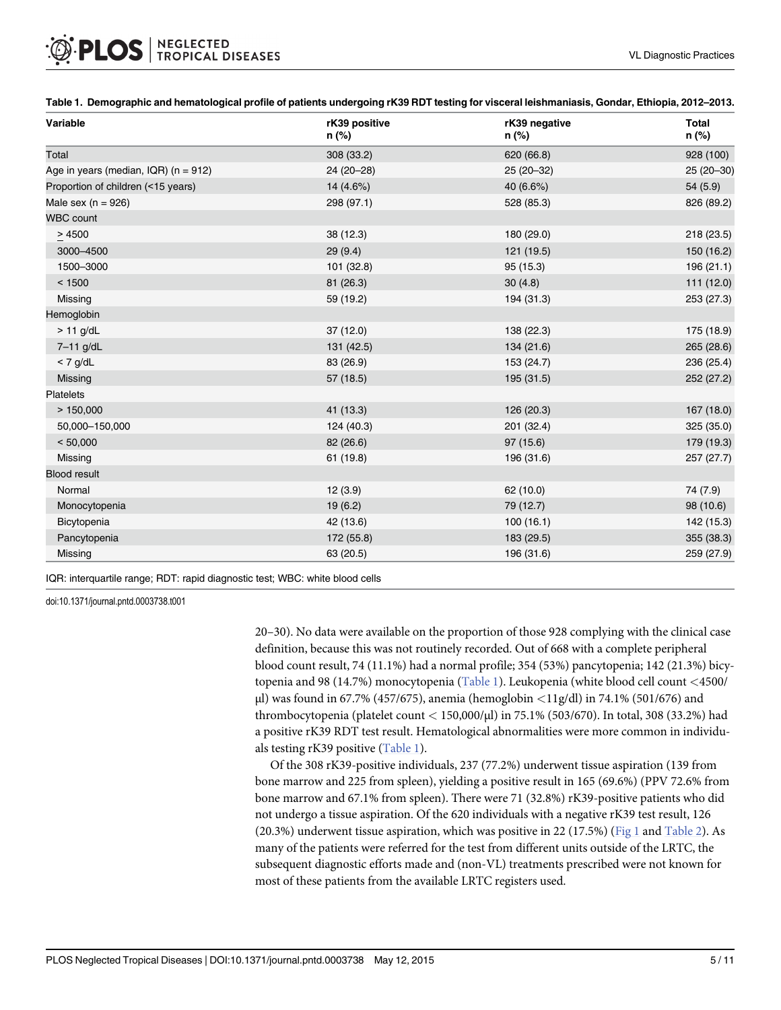| Variable                                 | rK39 positive<br>n (%) | rK39 negative<br>n (%) | <b>Total</b><br>n (%) |
|------------------------------------------|------------------------|------------------------|-----------------------|
| Total                                    | 308 (33.2)             | 620 (66.8)             | 928 (100)             |
| Age in years (median, IQR) ( $n = 912$ ) | 24 (20-28)             | 25 (20-32)             | 25 (20-30)            |
| Proportion of children (<15 years)       | 14 (4.6%)              | 40 (6.6%)              | 54 (5.9)              |
| Male sex ( $n = 926$ )                   | 298 (97.1)             | 528 (85.3)             | 826 (89.2)            |
| <b>WBC count</b>                         |                        |                        |                       |
| > 4500                                   | 38 (12.3)              | 180 (29.0)             | 218 (23.5)            |
| 3000-4500                                | 29(9.4)                | 121 (19.5)             | 150 (16.2)            |
| 1500-3000                                | 101 (32.8)             | 95 (15.3)              | 196 (21.1)            |
| < 1500                                   | 81 (26.3)              | 30(4.8)                | 111 (12.0)            |
| Missing                                  | 59 (19.2)              | 194 (31.3)             | 253 (27.3)            |
| Hemoglobin                               |                        |                        |                       |
| $> 11$ g/dL                              | 37(12.0)               | 138 (22.3)             | 175 (18.9)            |
| 7-11 g/dL                                | 131 (42.5)             | 134 (21.6)             | 265 (28.6)            |
| $<$ 7 g/dL                               | 83 (26.9)              | 153 (24.7)             | 236 (25.4)            |
| Missing                                  | 57 (18.5)              | 195 (31.5)             | 252 (27.2)            |
| <b>Platelets</b>                         |                        |                        |                       |
| >150,000                                 | 41 (13.3)              | 126 (20.3)             | 167 (18.0)            |
| 50,000-150,000                           | 124 (40.3)             | 201 (32.4)             | 325 (35.0)            |
| < 50,000                                 | 82 (26.6)              | 97 (15.6)              | 179 (19.3)            |
| Missing                                  | 61 (19.8)              | 196 (31.6)             | 257 (27.7)            |
| <b>Blood result</b>                      |                        |                        |                       |
| Normal                                   | 12(3.9)                | 62 (10.0)              | 74 (7.9)              |
| Monocytopenia                            | 19(6.2)                | 79 (12.7)              | 98 (10.6)             |
| Bicytopenia                              | 42 (13.6)              | 100(16.1)              | 142 (15.3)            |
| Pancytopenia                             | 172 (55.8)             | 183 (29.5)             | 355 (38.3)            |
| Missing                                  | 63 (20.5)              | 196 (31.6)             | 259 (27.9)            |

<span id="page-4-0"></span>Table 1. Demographic and hematological profile of patients undergoing rK39 RDT testing for visceral leishmaniasis, Gondar, Ethiopia, 2012–2013.

IQR: interquartile range; RDT: rapid diagnostic test; WBC: white blood cells

doi:10.1371/journal.pntd.0003738.t001

20–30). No data were available on the proportion of those 928 complying with the clinical case definition, because this was not routinely recorded. Out of 668 with a complete peripheral blood count result, 74 (11.1%) had a normal profile; 354 (53%) pancytopenia; 142 (21.3%) bicytopenia and 98 (14.7%) monocytopenia (Table 1). Leukopenia (white blood cell count <4500/ μl) was found in 67.7% (457/675), anemia (hemoglobin <11g/dl) in 74.1% (501/676) and thrombocytopenia (platelet count < 150,000/μl) in 75.1% (503/670). In total, 308 (33.2%) had a positive rK39 RDT test result. Hematological abnormalities were more common in individuals testing rK39 positive (Table 1).

Of the 308 rK39-positive individuals, 237 (77.2%) underwent tissue aspiration (139 from bone marrow and 225 from spleen), yielding a positive result in 165 (69.6%) (PPV 72.6% from bone marrow and 67.1% from spleen). There were 71 (32.8%) rK39-positive patients who did not undergo a tissue aspiration. Of the 620 individuals with a negative rK39 test result, 126 (20.3%) underwent tissue aspiration, which was positive in 22 (17.5%) ( $Fig 1$  and [Table 2](#page-6-0)). As many of the patients were referred for the test from different units outside of the LRTC, the subsequent diagnostic efforts made and (non-VL) treatments prescribed were not known for most of these patients from the available LRTC registers used.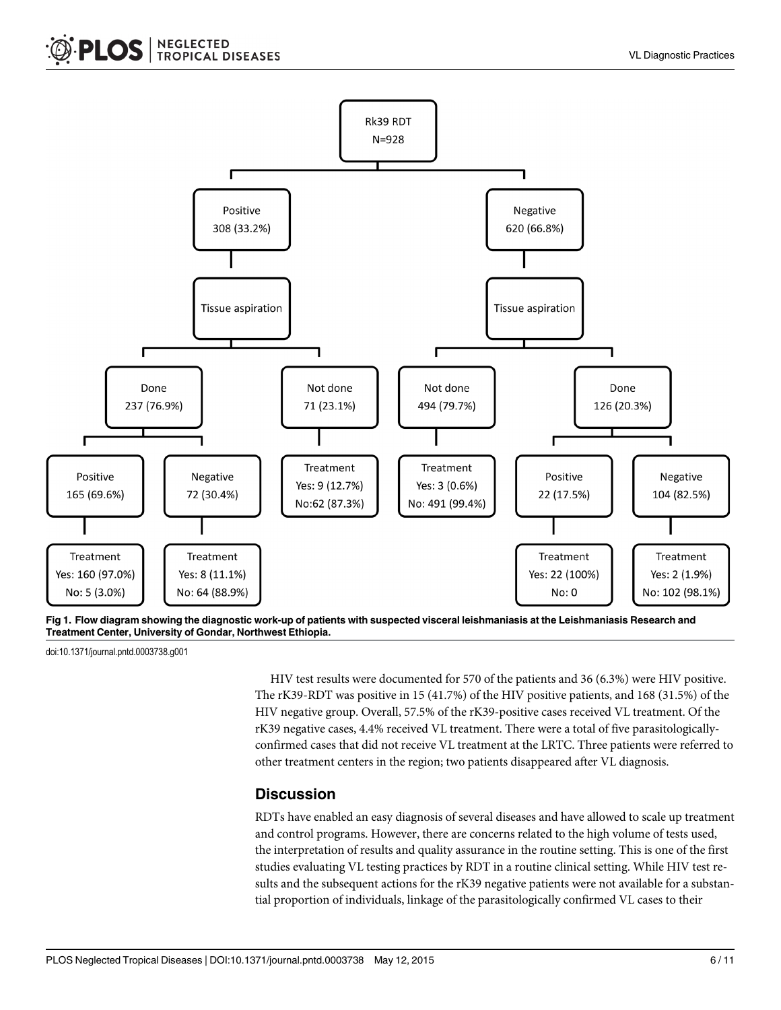<span id="page-5-0"></span>

[Fig 1. F](#page-4-0)low diagram showing the diagnostic work-up of patients with suspected visceral leishmaniasis at the Leishmaniasis Research and Treatment Center, University of Gondar, Northwest Ethiopia.

doi:10.1371/journal.pntd.0003738.g001

HIV test results were documented for 570 of the patients and 36 (6.3%) were HIV positive. The rK39-RDT was positive in 15 (41.7%) of the HIV positive patients, and 168 (31.5%) of the HIV negative group. Overall, 57.5% of the rK39-positive cases received VL treatment. Of the rK39 negative cases, 4.4% received VL treatment. There were a total of five parasitologicallyconfirmed cases that did not receive VL treatment at the LRTC. Three patients were referred to other treatment centers in the region; two patients disappeared after VL diagnosis.

#### **Discussion**

RDTs have enabled an easy diagnosis of several diseases and have allowed to scale up treatment and control programs. However, there are concerns related to the high volume of tests used, the interpretation of results and quality assurance in the routine setting. This is one of the first studies evaluating VL testing practices by RDT in a routine clinical setting. While HIV test results and the subsequent actions for the rK39 negative patients were not available for a substantial proportion of individuals, linkage of the parasitologically confirmed VL cases to their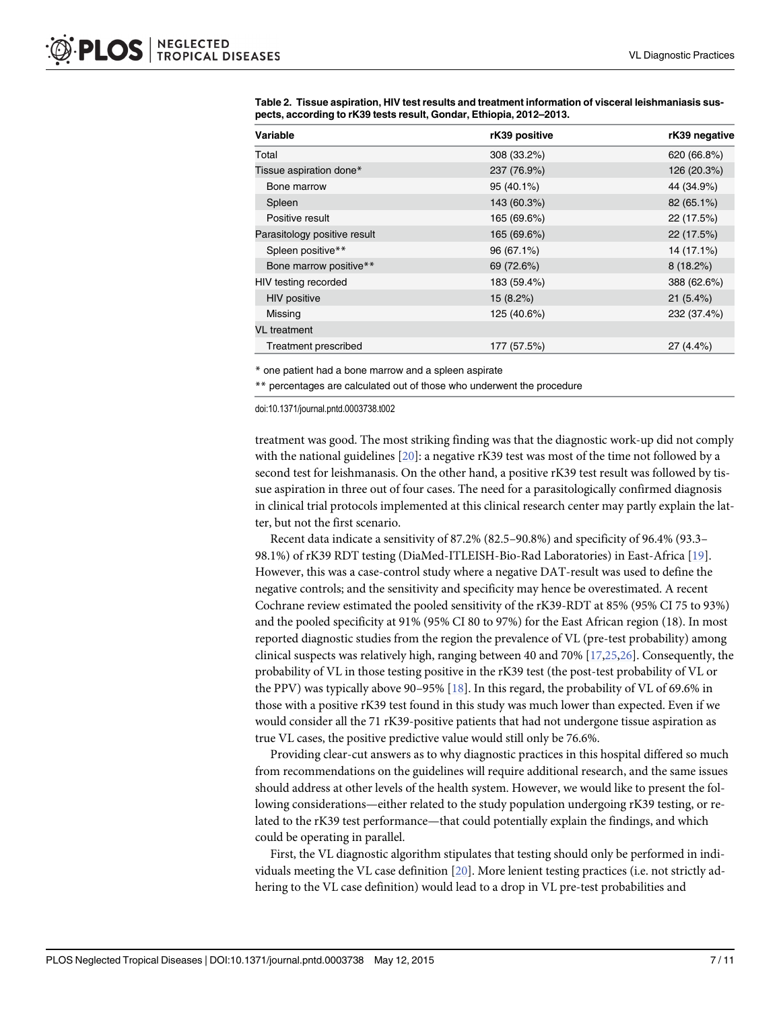| Variable                     | rK39 positive | rK39 negative |
|------------------------------|---------------|---------------|
| Total                        | 308 (33.2%)   | 620 (66.8%)   |
| Tissue aspiration done*      | 237 (76.9%)   | 126 (20.3%)   |
| Bone marrow                  | 95 (40.1%)    | 44 (34.9%)    |
| Spleen                       | 143 (60.3%)   | 82 (65.1%)    |
| Positive result              | 165 (69.6%)   | 22 (17.5%)    |
| Parasitology positive result | 165 (69.6%)   | 22 (17.5%)    |
| Spleen positive**            | 96 (67.1%)    | 14 (17.1%)    |
| Bone marrow positive**       | 69 (72.6%)    | 8(18.2%)      |
| HIV testing recorded         | 183 (59.4%)   | 388 (62.6%)   |
| <b>HIV</b> positive          | 15 (8.2%)     | 21(5.4%)      |
| Missing                      | 125 (40.6%)   | 232 (37.4%)   |
| <b>VL</b> treatment          |               |               |
| Treatment prescribed         | 177 (57.5%)   | 27 (4.4%)     |

<span id="page-6-0"></span>[Table 2.](#page-4-0) Tissue aspiration, HIV test results and treatment information of visceral leishmaniasis suspects, according to rK39 tests result, Gondar, Ethiopia, 2012–2013.

\* one patient had a bone marrow and a spleen aspirate

\*\* percentages are calculated out of those who underwent the procedure

doi:10.1371/journal.pntd.0003738.t002

treatment was good. The most striking finding was that the diagnostic work-up did not comply with the national guidelines  $[20]$ : a negative rK39 test was most of the time not followed by a second test for leishmanasis. On the other hand, a positive rK39 test result was followed by tissue aspiration in three out of four cases. The need for a parasitologically confirmed diagnosis in clinical trial protocols implemented at this clinical research center may partly explain the latter, but not the first scenario.

Recent data indicate a sensitivity of 87.2% (82.5–90.8%) and specificity of 96.4% (93.3– 98.1%) of rK39 RDT testing (DiaMed-ITLEISH-Bio-Rad Laboratories) in East-Africa [[19](#page-10-0)]. However, this was a case-control study where a negative DAT-result was used to define the negative controls; and the sensitivity and specificity may hence be overestimated. A recent Cochrane review estimated the pooled sensitivity of the rK39-RDT at 85% (95% CI 75 to 93%) and the pooled specificity at 91% (95% CI 80 to 97%) for the East African region (18). In most reported diagnostic studies from the region the prevalence of VL (pre-test probability) among clinical suspects was relatively high, ranging between 40 and 70% [[17](#page-9-0)[,25,26\]](#page-10-0). Consequently, the probability of VL in those testing positive in the rK39 test (the post-test probability of VL or the PPV) was typically above 90–95%  $[18]$ . In this regard, the probability of VL of 69.6% in those with a positive rK39 test found in this study was much lower than expected. Even if we would consider all the 71 rK39-positive patients that had not undergone tissue aspiration as true VL cases, the positive predictive value would still only be 76.6%.

Providing clear-cut answers as to why diagnostic practices in this hospital differed so much from recommendations on the guidelines will require additional research, and the same issues should address at other levels of the health system. However, we would like to present the following considerations—either related to the study population undergoing rK39 testing, or related to the rK39 test performance—that could potentially explain the findings, and which could be operating in parallel.

First, the VL diagnostic algorithm stipulates that testing should only be performed in individuals meeting the VL case definition [\[20\]](#page-10-0). More lenient testing practices (i.e. not strictly adhering to the VL case definition) would lead to a drop in VL pre-test probabilities and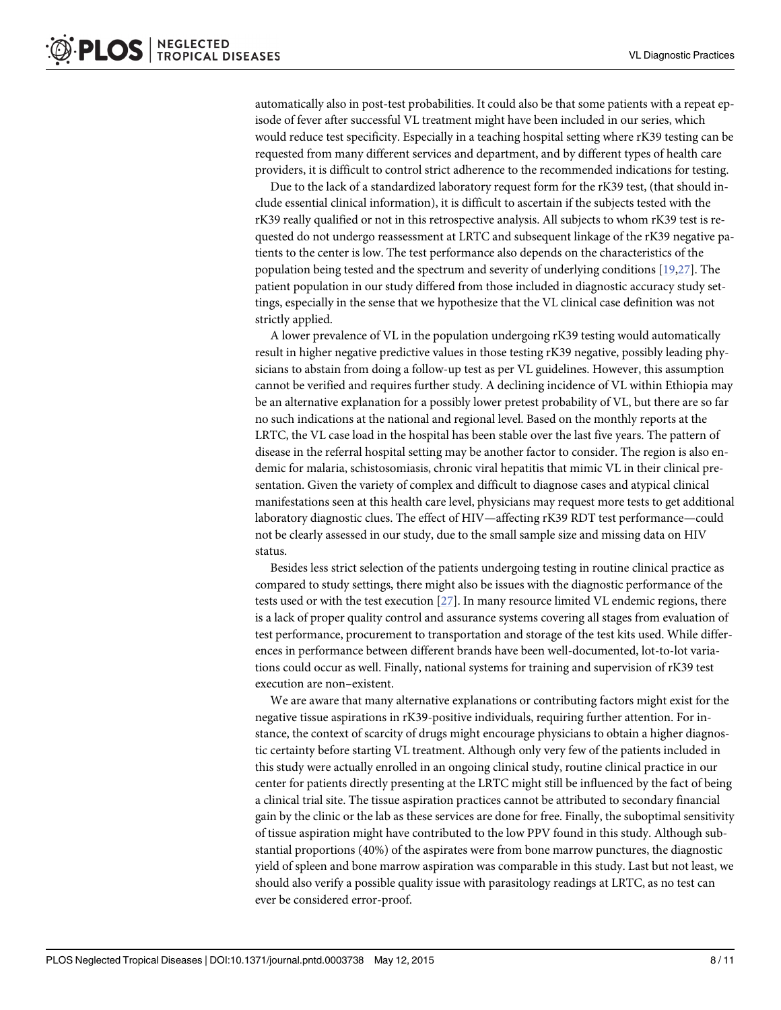<span id="page-7-0"></span>automatically also in post-test probabilities. It could also be that some patients with a repeat episode of fever after successful VL treatment might have been included in our series, which would reduce test specificity. Especially in a teaching hospital setting where rK39 testing can be requested from many different services and department, and by different types of health care providers, it is difficult to control strict adherence to the recommended indications for testing.

Due to the lack of a standardized laboratory request form for the rK39 test, (that should include essential clinical information), it is difficult to ascertain if the subjects tested with the rK39 really qualified or not in this retrospective analysis. All subjects to whom rK39 test is requested do not undergo reassessment at LRTC and subsequent linkage of the rK39 negative patients to the center is low. The test performance also depends on the characteristics of the population being tested and the spectrum and severity of underlying conditions [[19,27](#page-10-0)]. The patient population in our study differed from those included in diagnostic accuracy study settings, especially in the sense that we hypothesize that the VL clinical case definition was not strictly applied.

A lower prevalence of VL in the population undergoing rK39 testing would automatically result in higher negative predictive values in those testing rK39 negative, possibly leading physicians to abstain from doing a follow-up test as per VL guidelines. However, this assumption cannot be verified and requires further study. A declining incidence of VL within Ethiopia may be an alternative explanation for a possibly lower pretest probability of VL, but there are so far no such indications at the national and regional level. Based on the monthly reports at the LRTC, the VL case load in the hospital has been stable over the last five years. The pattern of disease in the referral hospital setting may be another factor to consider. The region is also endemic for malaria, schistosomiasis, chronic viral hepatitis that mimic VL in their clinical presentation. Given the variety of complex and difficult to diagnose cases and atypical clinical manifestations seen at this health care level, physicians may request more tests to get additional laboratory diagnostic clues. The effect of HIV—affecting rK39 RDT test performance—could not be clearly assessed in our study, due to the small sample size and missing data on HIV status.

Besides less strict selection of the patients undergoing testing in routine clinical practice as compared to study settings, there might also be issues with the diagnostic performance of the tests used or with the test execution  $[27]$  $[27]$  $[27]$ . In many resource limited VL endemic regions, there is a lack of proper quality control and assurance systems covering all stages from evaluation of test performance, procurement to transportation and storage of the test kits used. While differences in performance between different brands have been well-documented, lot-to-lot variations could occur as well. Finally, national systems for training and supervision of rK39 test execution are non–existent.

We are aware that many alternative explanations or contributing factors might exist for the negative tissue aspirations in rK39-positive individuals, requiring further attention. For instance, the context of scarcity of drugs might encourage physicians to obtain a higher diagnostic certainty before starting VL treatment. Although only very few of the patients included in this study were actually enrolled in an ongoing clinical study, routine clinical practice in our center for patients directly presenting at the LRTC might still be influenced by the fact of being a clinical trial site. The tissue aspiration practices cannot be attributed to secondary financial gain by the clinic or the lab as these services are done for free. Finally, the suboptimal sensitivity of tissue aspiration might have contributed to the low PPV found in this study. Although substantial proportions (40%) of the aspirates were from bone marrow punctures, the diagnostic yield of spleen and bone marrow aspiration was comparable in this study. Last but not least, we should also verify a possible quality issue with parasitology readings at LRTC, as no test can ever be considered error-proof.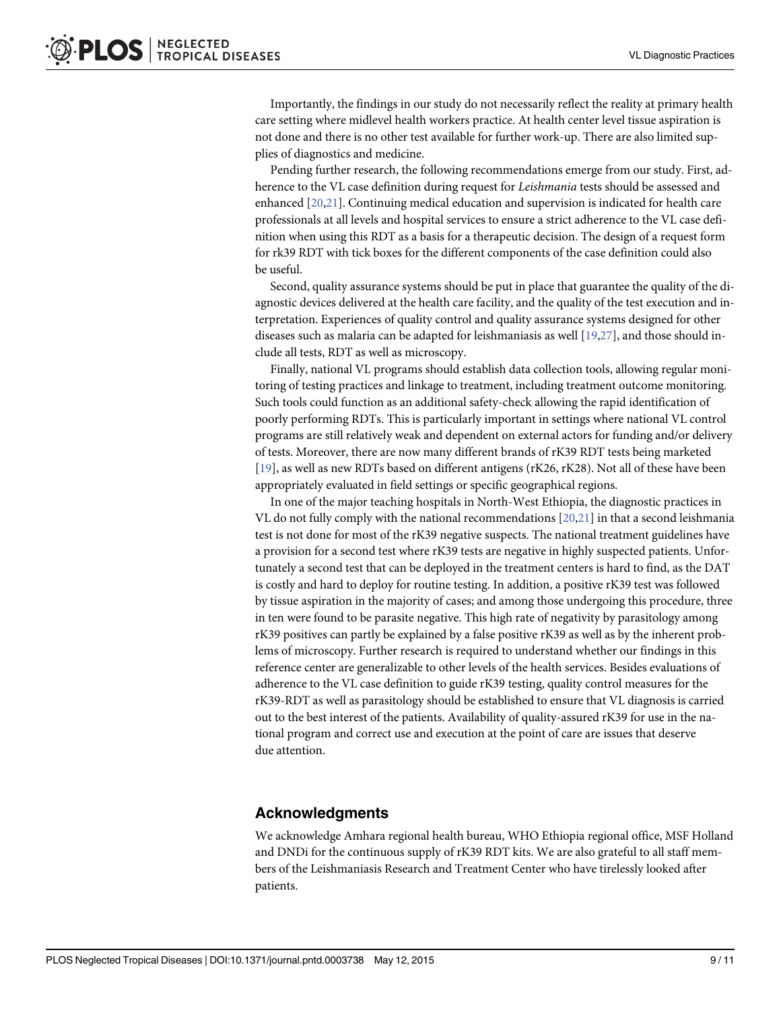Importantly, the findings in our study do not necessarily reflect the reality at primary health care setting where midlevel health workers practice. At health center level tissue aspiration is not done and there is no other test available for further work-up. There are also limited supplies of diagnostics and medicine.

Pending further research, the following recommendations emerge from our study. First, adherence to the VL case definition during request for Leishmania tests should be assessed and enhanced [[20](#page-10-0),[21](#page-10-0)]. Continuing medical education and supervision is indicated for health care professionals at all levels and hospital services to ensure a strict adherence to the VL case definition when using this RDT as a basis for a therapeutic decision. The design of a request form for rk39 RDT with tick boxes for the different components of the case definition could also be useful.

Second, quality assurance systems should be put in place that guarantee the quality of the diagnostic devices delivered at the health care facility, and the quality of the test execution and interpretation. Experiences of quality control and quality assurance systems designed for other diseases such as malaria can be adapted for leishmaniasis as well  $[19,27]$  $[19,27]$  $[19,27]$ , and those should include all tests, RDT as well as microscopy.

Finally, national VL programs should establish data collection tools, allowing regular monitoring of testing practices and linkage to treatment, including treatment outcome monitoring. Such tools could function as an additional safety-check allowing the rapid identification of poorly performing RDTs. This is particularly important in settings where national VL control programs are still relatively weak and dependent on external actors for funding and/or delivery of tests. Moreover, there are now many different brands of rK39 RDT tests being marketed [\[19](#page-10-0)], as well as new RDTs based on different antigens (rK26, rK28). Not all of these have been appropriately evaluated in field settings or specific geographical regions.

In one of the major teaching hospitals in North-West Ethiopia, the diagnostic practices in VL do not fully comply with the national recommendations [\[20,21\]](#page-10-0) in that a second leishmania test is not done for most of the rK39 negative suspects. The national treatment guidelines have a provision for a second test where rK39 tests are negative in highly suspected patients. Unfortunately a second test that can be deployed in the treatment centers is hard to find, as the DAT is costly and hard to deploy for routine testing. In addition, a positive rK39 test was followed by tissue aspiration in the majority of cases; and among those undergoing this procedure, three in ten were found to be parasite negative. This high rate of negativity by parasitology among rK39 positives can partly be explained by a false positive rK39 as well as by the inherent problems of microscopy. Further research is required to understand whether our findings in this reference center are generalizable to other levels of the health services. Besides evaluations of adherence to the VL case definition to guide rK39 testing, quality control measures for the rK39-RDT as well as parasitology should be established to ensure that VL diagnosis is carried out to the best interest of the patients. Availability of quality-assured rK39 for use in the national program and correct use and execution at the point of care are issues that deserve due attention.

#### Acknowledgments

We acknowledge Amhara regional health bureau, WHO Ethiopia regional office, MSF Holland and DNDi for the continuous supply of rK39 RDT kits. We are also grateful to all staff members of the Leishmaniasis Research and Treatment Center who have tirelessly looked after patients.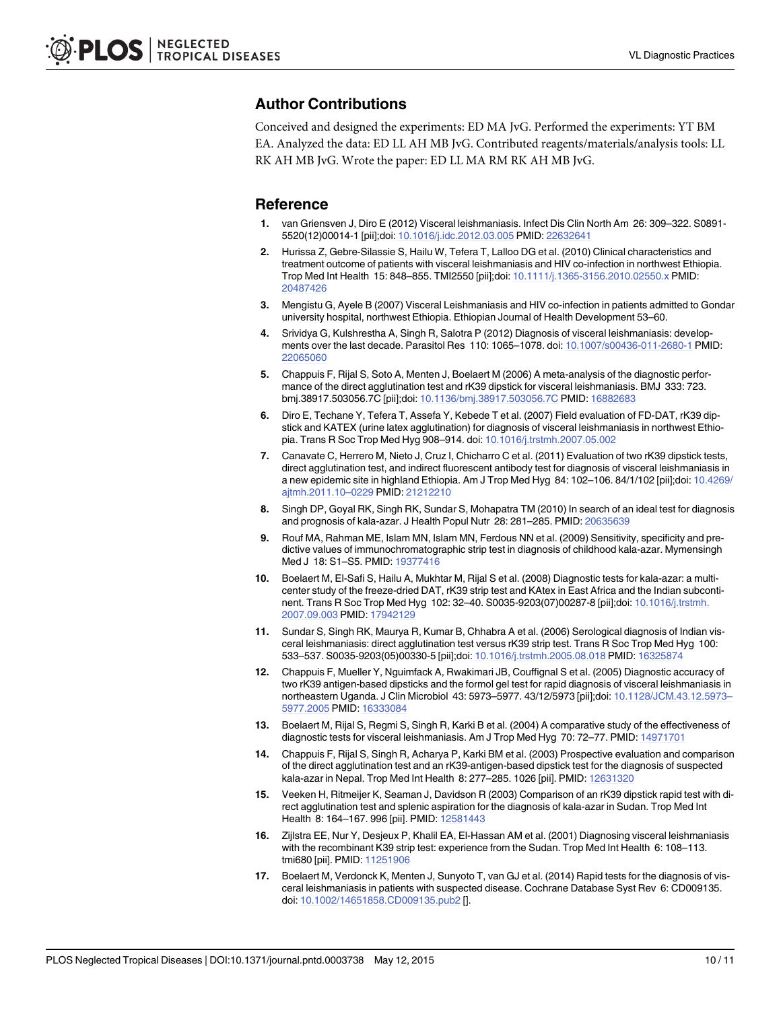# <span id="page-9-0"></span>Author Contributions

Conceived and designed the experiments: ED MA JvG. Performed the experiments: YT BM EA. Analyzed the data: ED LL AH MB JvG. Contributed reagents/materials/analysis tools: LL RK AH MB JvG. Wrote the paper: ED LL MA RM RK AH MB JvG.

#### **Reference**

- [1.](#page-1-0) van Griensven J, Diro E (2012) Visceral leishmaniasis. Infect Dis Clin North Am 26: 309–322. S0891- 5520(12)00014-1 [pii];doi: [10.1016/j.idc.2012.03.005](http://dx.doi.org/10.1016/j.idc.2012.03.005) PMID: [22632641](http://www.ncbi.nlm.nih.gov/pubmed/22632641)
- [2.](#page-1-0) Hurissa Z, Gebre-Silassie S, Hailu W, Tefera T, Lalloo DG et al. (2010) Clinical characteristics and treatment outcome of patients with visceral leishmaniasis and HIV co-infection in northwest Ethiopia. Trop Med Int Health 15: 848–855. TMI2550 [pii];doi: [10.1111/j.1365-3156.2010.02550.x](http://dx.doi.org/10.1111/j.1365-3156.2010.02550.x) PMID: [20487426](http://www.ncbi.nlm.nih.gov/pubmed/20487426)
- [3.](#page-1-0) Mengistu G, Ayele B (2007) Visceral Leishmaniasis and HIV co-infection in patients admitted to Gondar university hospital, northwest Ethiopia. Ethiopian Journal of Health Development 53–60.
- [4.](#page-1-0) Srividya G, Kulshrestha A, Singh R, Salotra P (2012) Diagnosis of visceral leishmaniasis: developments over the last decade. Parasitol Res 110: 1065–1078. doi: [10.1007/s00436-011-2680-1](http://dx.doi.org/10.1007/s00436-011-2680-1) PMID: [22065060](http://www.ncbi.nlm.nih.gov/pubmed/22065060)
- [5.](#page-1-0) Chappuis F, Rijal S, Soto A, Menten J, Boelaert M (2006) A meta-analysis of the diagnostic performance of the direct agglutination test and rK39 dipstick for visceral leishmaniasis. BMJ 333: 723. bmj.38917.503056.7C [pii];doi: [10.1136/bmj.38917.503056.7C](http://dx.doi.org/10.1136/bmj.38917.503056.7C) PMID: [16882683](http://www.ncbi.nlm.nih.gov/pubmed/16882683)
- 6. Diro E, Techane Y, Tefera T, Assefa Y, Kebede T et al. (2007) Field evaluation of FD-DAT, rK39 dipstick and KATEX (urine latex agglutination) for diagnosis of visceral leishmaniasis in northwest Ethiopia. Trans R Soc Trop Med Hyg 908–914. doi: [10.1016/j.trstmh.2007.05.002](http://dx.doi.org/10.1016/j.trstmh.2007.05.002)
- 7. Canavate C, Herrero M, Nieto J, Cruz I, Chicharro C et al. (2011) Evaluation of two rK39 dipstick tests, direct agglutination test, and indirect fluorescent antibody test for diagnosis of visceral leishmaniasis in a new epidemic site in highland Ethiopia. Am J Trop Med Hyg 84: 102–106. 84/1/102 [pii];doi: [10.4269/](http://dx.doi.org/10.4269/ajtmh.2011.10–0229) [ajtmh.2011.10](http://dx.doi.org/10.4269/ajtmh.2011.10–0229)–0229 PMID: [21212210](http://www.ncbi.nlm.nih.gov/pubmed/21212210)
- 8. Singh DP, Goyal RK, Singh RK, Sundar S, Mohapatra TM (2010) In search of an ideal test for diagnosis and prognosis of kala-azar. J Health Popul Nutr 28: 281–285. PMID: [20635639](http://www.ncbi.nlm.nih.gov/pubmed/20635639)
- 9. Rouf MA, Rahman ME, Islam MN, Islam MN, Ferdous NN et al. (2009) Sensitivity, specificity and predictive values of immunochromatographic strip test in diagnosis of childhood kala-azar. Mymensingh Med J 18: S1–S5. PMID: [19377416](http://www.ncbi.nlm.nih.gov/pubmed/19377416)
- 10. Boelaert M, El-Safi S, Hailu A, Mukhtar M, Rijal S et al. (2008) Diagnostic tests for kala-azar: a multicenter study of the freeze-dried DAT, rK39 strip test and KAtex in East Africa and the Indian subcontinent. Trans R Soc Trop Med Hyg 102: 32–40. S0035-9203(07)00287-8 [pii];doi: [10.1016/j.trstmh.](http://dx.doi.org/10.1016/j.trstmh.2007.09.003) [2007.09.003](http://dx.doi.org/10.1016/j.trstmh.2007.09.003) PMID: [17942129](http://www.ncbi.nlm.nih.gov/pubmed/17942129)
- 11. Sundar S, Singh RK, Maurya R, Kumar B, Chhabra A et al. (2006) Serological diagnosis of Indian visceral leishmaniasis: direct agglutination test versus rK39 strip test. Trans R Soc Trop Med Hyg 100: 533–537. S0035-9203(05)00330-5 [pii];doi: [10.1016/j.trstmh.2005.08.018](http://dx.doi.org/10.1016/j.trstmh.2005.08.018) PMID: [16325874](http://www.ncbi.nlm.nih.gov/pubmed/16325874)
- 12. Chappuis F, Mueller Y, Nguimfack A, Rwakimari JB, Couffignal S et al. (2005) Diagnostic accuracy of two rK39 antigen-based dipsticks and the formol gel test for rapid diagnosis of visceral leishmaniasis in northeastern Uganda. J Clin Microbiol 43: 5973–5977. 43/12/5973 [pii];doi: [10.1128/JCM.43.12.5973](http://dx.doi.org/10.1128/JCM.43.12.5973–5977.2005)– [5977.2005](http://dx.doi.org/10.1128/JCM.43.12.5973–5977.2005) PMID: [16333084](http://www.ncbi.nlm.nih.gov/pubmed/16333084)
- 13. Boelaert M, Rijal S, Regmi S, Singh R, Karki B et al. (2004) A comparative study of the effectiveness of diagnostic tests for visceral leishmaniasis. Am J Trop Med Hyg 70: 72–77. PMID: [14971701](http://www.ncbi.nlm.nih.gov/pubmed/14971701)
- 14. Chappuis F, Rijal S, Singh R, Acharya P, Karki BM et al. (2003) Prospective evaluation and comparison of the direct agglutination test and an rK39-antigen-based dipstick test for the diagnosis of suspected kala-azar in Nepal. Trop Med Int Health 8: 277–285. 1026 [pii]. PMID: [12631320](http://www.ncbi.nlm.nih.gov/pubmed/12631320)
- 15. Veeken H, Ritmeijer K, Seaman J, Davidson R (2003) Comparison of an rK39 dipstick rapid test with direct agglutination test and splenic aspiration for the diagnosis of kala-azar in Sudan. Trop Med Int Health 8: 164-167. 996 [pii]. PMID: [12581443](http://www.ncbi.nlm.nih.gov/pubmed/12581443)
- 16. Zijlstra EE, Nur Y, Desjeux P, Khalil EA, El-Hassan AM et al. (2001) Diagnosing visceral leishmaniasis with the recombinant K39 strip test: experience from the Sudan. Trop Med Int Health 6: 108–113. tmi680 [pii]. PMID: [11251906](http://www.ncbi.nlm.nih.gov/pubmed/11251906)
- [17.](#page-1-0) Boelaert M, Verdonck K, Menten J, Sunyoto T, van GJ et al. (2014) Rapid tests for the diagnosis of visceral leishmaniasis in patients with suspected disease. Cochrane Database Syst Rev 6: CD009135. doi: [10.1002/14651858.CD009135.pub2](http://dx.doi.org/10.1002/14651858.CD009135.pub2) [].